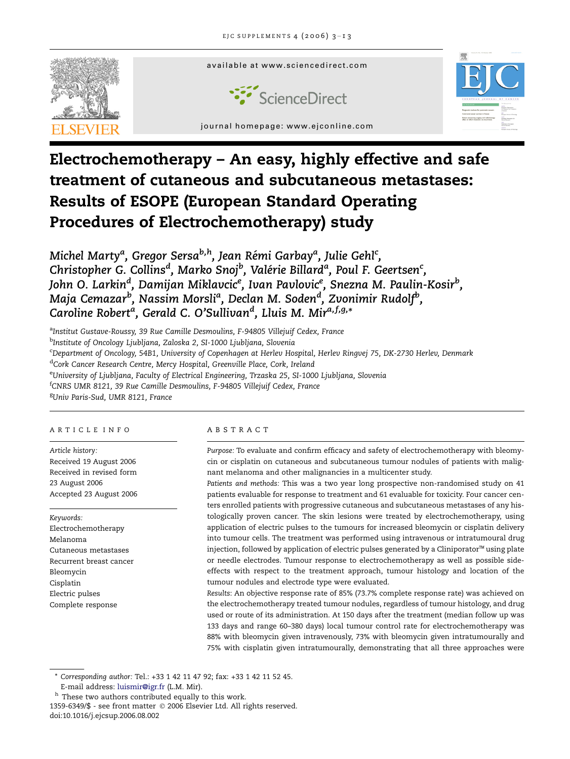

# Electrochemotherapy – An easy, highly effective and safe treatment of cutaneous and subcutaneous metastases: Results of ESOPE (European Standard Operating Procedures of Electrochemotherapy) study

Michel Marty<sup>a</sup>, Gregor Sersa<sup>b,h</sup>, Jean Rémi Garbay<sup>a</sup>, Julie Gehl<sup>c</sup>, Christopher G. Collins<sup>d</sup>, Marko Snoj<sup>b</sup>, Valérie Billard<sup>a</sup>, Poul F. Geertsen<sup>c</sup>, John O. Larkin<sup>d</sup>, Damijan Miklavcic<sup>e</sup>, Ivan Pavlovic<sup>e</sup>, Snezna M. Paulin-Kosir<sup>b</sup>, Maja Cemazar<sup>b</sup>, Nassim Morsli<sup>a</sup>, Declan M. Soden<sup>d</sup>, Zvonimir Rudolf<sup>b</sup>, Caroline Robert<sup>a</sup>, Gerald C. O'Sullivan<sup>d</sup>, Lluis M. Mir<sup>a,f,g,</sup>\*

<sup>a</sup>Institut Gustave-Roussy, 39 Rue Camille Desmoulins, F-94805 Villejuif Cedex, France

<sup>b</sup>Institute of Oncology Ljubljana, Zaloska 2, SI-1000 Ljubljana, Slovenia

c Department of Oncology, 54B1, University of Copenhagen at Herlev Hospital, Herlev Ringvej 75, DK-2730 Herlev, Denmark

<sup>d</sup>Cork Cancer Research Centre, Mercy Hospital, Greenville Place, Cork, Ireland

e University of Ljubljana, Faculty of Electrical Engineering, Trzaska 25, SI-1000 Ljubljana, Slovenia

<sup>f</sup>CNRS UMR 8121, 39 Rue Camille Desmoulins, F-94805 Villejuif Cedex, France

<sup>g</sup>Univ Paris-Sud, UMR 8121, France

#### ARTICLE INFO

Article history: Received 19 August 2006 Received in revised form 23 August 2006 Accepted 23 August 2006

Keywords: Electrochemotherapy Melanoma Cutaneous metastases Recurrent breast cancer Bleomycin Cisplatin Electric pulses Complete response

#### ABSTRACT

Purpose: To evaluate and confirm efficacy and safety of electrochemotherapy with bleomycin or cisplatin on cutaneous and subcutaneous tumour nodules of patients with malignant melanoma and other malignancies in a multicenter study.

Patients and methods: This was a two year long prospective non-randomised study on 41 patients evaluable for response to treatment and 61 evaluable for toxicity. Four cancer centers enrolled patients with progressive cutaneous and subcutaneous metastases of any histologically proven cancer. The skin lesions were treated by electrochemotherapy, using application of electric pulses to the tumours for increased bleomycin or cisplatin delivery into tumour cells. The treatment was performed using intravenous or intratumoural drug injection, followed by application of electric pulses generated by a Cliniporator $M$  using plate or needle electrodes. Tumour response to electrochemotherapy as well as possible sideeffects with respect to the treatment approach, tumour histology and location of the tumour nodules and electrode type were evaluated.

Results: An objective response rate of 85% (73.7% complete response rate) was achieved on the electrochemotherapy treated tumour nodules, regardless of tumour histology, and drug used or route of its administration. At 150 days after the treatment (median follow up was 133 days and range 60–380 days) local tumour control rate for electrochemotherapy was 88% with bleomycin given intravenously, 73% with bleomycin given intratumourally and 75% with cisplatin given intratumourally, demonstrating that all three approaches were

<sup>\*</sup> Corresponding author: Tel.: +33 1 42 11 47 92; fax: +33 1 42 11 52 45.

E-mail address: [luismir@igr.fr](mailto:luismir@igr.fr) (L.M. Mir).

h These two authors contributed equally to this work.

<sup>1359-6349/\$ -</sup> see front matter © 2006 Elsevier Ltd. All rights reserved. doi:10.1016/j.ejcsup.2006.08.002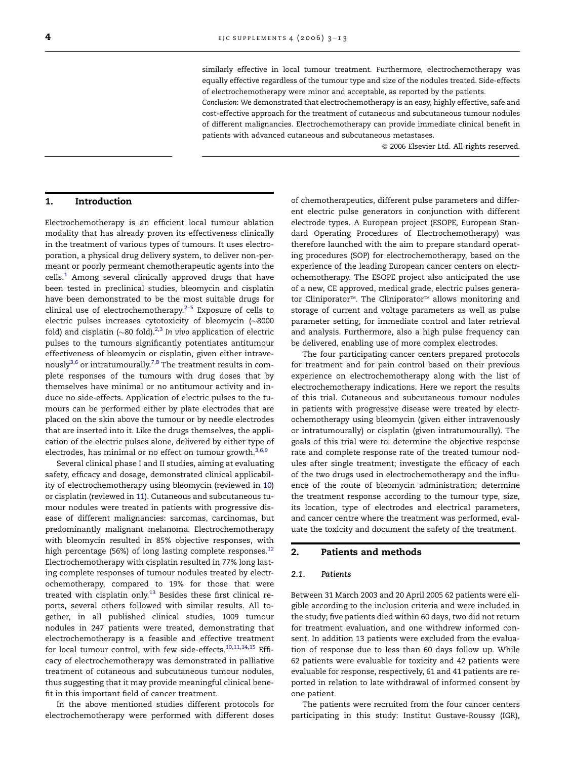similarly effective in local tumour treatment. Furthermore, electrochemotherapy was equally effective regardless of the tumour type and size of the nodules treated. Side-effects of electrochemotherapy were minor and acceptable, as reported by the patients.

Conclusion: We demonstrated that electrochemotherapy is an easy, highly effective, safe and cost-effective approach for the treatment of cutaneous and subcutaneous tumour nodules of different malignancies. Electrochemotherapy can provide immediate clinical benefit in patients with advanced cutaneous and subcutaneous metastases.

© 2006 Elsevier Ltd. All rights reserved.

# 1. Introduction

Electrochemotherapy is an efficient local tumour ablation modality that has already proven its effectiveness clinically in the treatment of various types of tumours. It uses electroporation, a physical drug delivery system, to deliver non-permeant or poorly permeant chemotherapeutic agents into the  $\text{cells.}^1$  Among several clinically approved drugs that have been tested in preclinical studies, bleomycin and cisplatin have been demonstrated to be the most suitable drugs for clinical use of electrochemotherapy. $2-5$  Exposure of cells to electric pulses increases cytotoxicity of bleomycin ( $\scriptstyle\sim$ 8000 fold) and cisplatin (~80 fold).<sup>[2,3](#page-10-0)</sup> In vivo application of electric pulses to the tumours significantly potentiates antitumour effectiveness of bleomycin or cisplatin, given either intravenously $3,6$  or intratumourally.<sup>[7,8](#page-10-0)</sup> The treatment results in complete responses of the tumours with drug doses that by themselves have minimal or no antitumour activity and induce no side-effects. Application of electric pulses to the tumours can be performed either by plate electrodes that are placed on the skin above the tumour or by needle electrodes that are inserted into it. Like the drugs themselves, the application of the electric pulses alone, delivered by either type of electrodes, has minimal or no effect on tumour growth. $3,6,9$ 

Several clinical phase I and II studies, aiming at evaluating safety, efficacy and dosage, demonstrated clinical applicability of electrochemotherapy using bleomycin (reviewed in [10\)](#page-10-0) or cisplatin (reviewed in [11](#page-10-0)). Cutaneous and subcutaneous tumour nodules were treated in patients with progressive disease of different malignancies: sarcomas, carcinomas, but predominantly malignant melanoma. Electrochemotherapy with bleomycin resulted in 85% objective responses, with high percentage (56%) of long lasting complete responses.<sup>[12](#page-10-0)</sup> Electrochemotherapy with cisplatin resulted in 77% long lasting complete responses of tumour nodules treated by electrochemotherapy, compared to 19% for those that were treated with cisplatin only. $13$  Besides these first clinical reports, several others followed with similar results. All together, in all published clinical studies, 1009 tumour nodules in 247 patients were treated, demonstrating that electrochemotherapy is a feasible and effective treatment for local tumour control, with few side-effects.<sup>[10,11,14,15](#page-10-0)</sup> Efficacy of electrochemotherapy was demonstrated in palliative treatment of cutaneous and subcutaneous tumour nodules, thus suggesting that it may provide meaningful clinical benefit in this important field of cancer treatment.

In the above mentioned studies different protocols for electrochemotherapy were performed with different doses

of chemotherapeutics, different pulse parameters and different electric pulse generators in conjunction with different electrode types. A European project (ESOPE, European Standard Operating Procedures of Electrochemotherapy) was therefore launched with the aim to prepare standard operating procedures (SOP) for electrochemotherapy, based on the experience of the leading European cancer centers on electrochemotherapy. The ESOPE project also anticipated the use of a new, CE approved, medical grade, electric pulses generator Cliniporator<sup>™</sup>. The Cliniporator<sup>™</sup> allows monitoring and storage of current and voltage parameters as well as pulse parameter setting, for immediate control and later retrieval and analysis. Furthermore, also a high pulse frequency can be delivered, enabling use of more complex electrodes.

The four participating cancer centers prepared protocols for treatment and for pain control based on their previous experience on electrochemotherapy along with the list of electrochemotherapy indications. Here we report the results of this trial. Cutaneous and subcutaneous tumour nodules in patients with progressive disease were treated by electrochemotherapy using bleomycin (given either intravenously or intratumourally) or cisplatin (given intratumourally). The goals of this trial were to: determine the objective response rate and complete response rate of the treated tumour nodules after single treatment; investigate the efficacy of each of the two drugs used in electrochemotherapy and the influence of the route of bleomycin administration; determine the treatment response according to the tumour type, size, its location, type of electrodes and electrical parameters, and cancer centre where the treatment was performed, evaluate the toxicity and document the safety of the treatment.

#### 2. Patients and methods

#### 2.1. Patients

Between 31 March 2003 and 20 April 2005 62 patients were eligible according to the inclusion criteria and were included in the study; five patients died within 60 days, two did not return for treatment evaluation, and one withdrew informed consent. In addition 13 patients were excluded from the evaluation of response due to less than 60 days follow up. While 62 patients were evaluable for toxicity and 42 patients were evaluable for response, respectively, 61 and 41 patients are reported in relation to late withdrawal of informed consent by one patient.

The patients were recruited from the four cancer centers participating in this study: Institut Gustave-Roussy (IGR),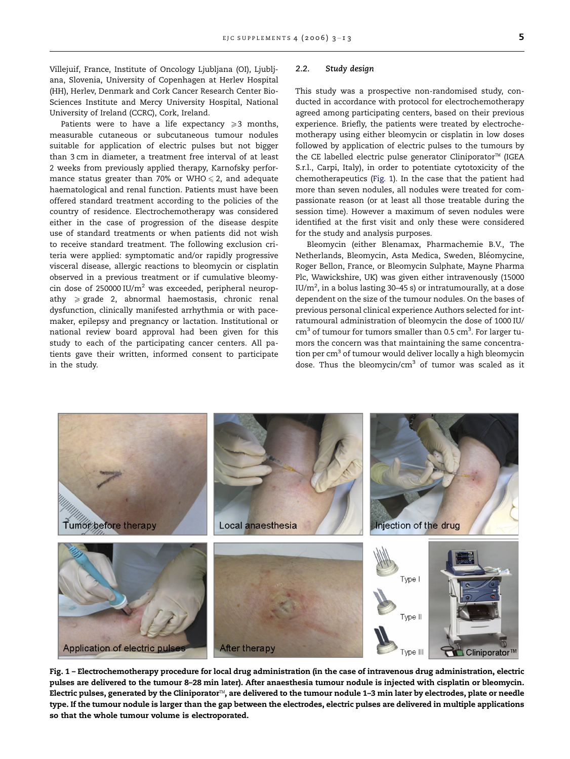<span id="page-2-0"></span>Villejuif, France, Institute of Oncology Ljubljana (OI), Ljubljana, Slovenia, University of Copenhagen at Herlev Hospital (HH), Herlev, Denmark and Cork Cancer Research Center Bio-Sciences Institute and Mercy University Hospital, National University of Ireland (CCRC), Cork, Ireland.

Patients were to have a life expectancy  $\geq 3$  months, measurable cutaneous or subcutaneous tumour nodules suitable for application of electric pulses but not bigger than 3 cm in diameter, a treatment free interval of at least 2 weeks from previously applied therapy, Karnofsky performance status greater than 70% or WHO  $\leq$  2, and adequate haematological and renal function. Patients must have been offered standard treatment according to the policies of the country of residence. Electrochemotherapy was considered either in the case of progression of the disease despite use of standard treatments or when patients did not wish to receive standard treatment. The following exclusion criteria were applied: symptomatic and/or rapidly progressive visceral disease, allergic reactions to bleomycin or cisplatin observed in a previous treatment or if cumulative bleomycin dose of 250000 IU/ $m^2$  was exceeded, peripheral neuropathy  $\ge$  grade 2, abnormal haemostasis, chronic renal dysfunction, clinically manifested arrhythmia or with pacemaker, epilepsy and pregnancy or lactation. Institutional or national review board approval had been given for this study to each of the participating cancer centers. All patients gave their written, informed consent to participate in the study.

## 2.2. Study design

This study was a prospective non-randomised study, conducted in accordance with protocol for electrochemotherapy agreed among participating centers, based on their previous experience. Briefly, the patients were treated by electrochemotherapy using either bleomycin or cisplatin in low doses followed by application of electric pulses to the tumours by the CE labelled electric pulse generator Cliniporator<sup>™</sup> (IGEA S.r.l., Carpi, Italy), in order to potentiate cytotoxicity of the chemotherapeutics (Fig. 1). In the case that the patient had more than seven nodules, all nodules were treated for compassionate reason (or at least all those treatable during the session time). However a maximum of seven nodules were identified at the first visit and only these were considered for the study and analysis purposes.

Bleomycin (either Blenamax, Pharmachemie B.V., The Netherlands, Bleomycin, Asta Medica, Sweden, Bléomycine, Roger Bellon, France, or Bleomycin Sulphate, Mayne Pharma Plc, Wawickshire, UK) was given either intravenously (15000 IU/m<sup>2</sup>, in a bolus lasting 30–45 s) or intratumourally, at a dose dependent on the size of the tumour nodules. On the bases of previous personal clinical experience Authors selected for intratumoural administration of bleomycin the dose of 1000 IU/  $\text{cm}^3$  of tumour for tumors smaller than 0.5  $\text{cm}^3$ . For larger tumors the concern was that maintaining the same concentration per  $cm<sup>3</sup>$  of tumour would deliver locally a high bleomycin dose. Thus the bleomycin/cm3 of tumor was scaled as it

Tumor before therapy Injection of the drug Local anaesthesia Type Type II Application of electric pulse **After therapy** Type III ■Cliniporator™

Fig. 1 – Electrochemotherapy procedure for local drug administration (in the case of intravenous drug administration, electric pulses are delivered to the tumour 8–28 min later). After anaesthesia tumour nodule is injected with cisplatin or bleomycin. Electric pulses, generated by the Cliniporator™, are delivered to the tumour nodule 1-3 min later by electrodes, plate or needle type. If the tumour nodule is larger than the gap between the electrodes, electric pulses are delivered in multiple applications so that the whole tumour volume is electroporated.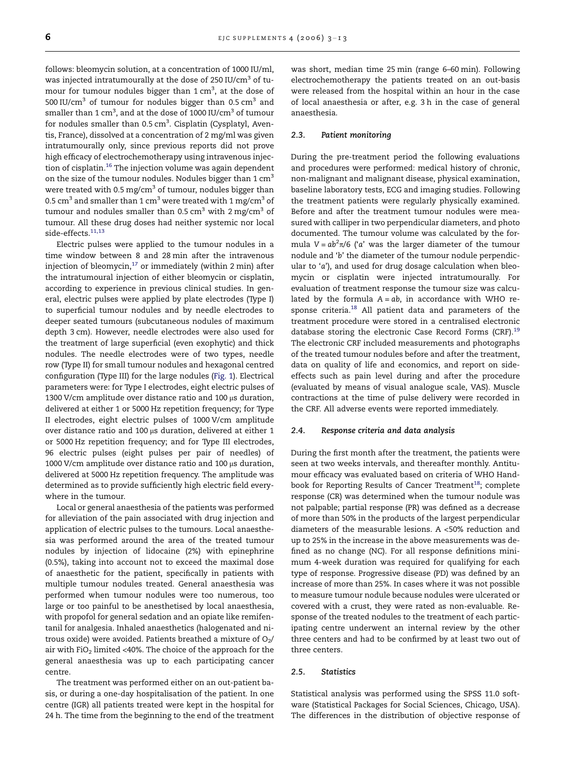follows: bleomycin solution, at a concentration of 1000 IU/ml, was injected intratumourally at the dose of 250 IU/cm<sup>3</sup> of tumour for tumour nodules bigger than  $1 \text{ cm}^3$ , at the dose of 500 IU/cm<sup>3</sup> of tumour for nodules bigger than  $0.5 \text{ cm}^3$  and smaller than 1 cm $^3$ , and at the dose of 1000 IU/cm $^3$  of tumour for nodules smaller than 0.5 cm<sup>3</sup>. Cisplatin (Cysplatyl, Aventis, France), dissolved at a concentration of 2 mg/ml was given intratumourally only, since previous reports did not prove high efficacy of electrochemotherapy using intravenous injection of cisplatin.<sup>16</sup> The injection volume was again dependent on the size of the tumour nodules. Nodules bigger than 1 cm<sup>3</sup> were treated with 0.5 mg/cm<sup>3</sup> of tumour, nodules bigger than 0.5  $\text{cm}^3$  and smaller than 1  $\text{cm}^3$  were treated with 1 mg/ $\text{cm}^3$  of tumour and nodules smaller than  $0.5 \text{ cm}^3$  with  $2 \text{ mg/cm}^3$  of tumour. All these drug doses had neither systemic nor local side-effects.<sup>11,13</sup>

Electric pulses were applied to the tumour nodules in a time window between 8 and 28 min after the intravenous injection of bleomycin, $17$  or immediately (within 2 min) after the intratumoural injection of either bleomycin or cisplatin, according to experience in previous clinical studies. In general, electric pulses were applied by plate electrodes (Type I) to superficial tumour nodules and by needle electrodes to deeper seated tumours (subcutaneous nodules of maximum depth 3 cm). However, needle electrodes were also used for the treatment of large superficial (even exophytic) and thick nodules. The needle electrodes were of two types, needle row (Type II) for small tumour nodules and hexagonal centred configuration (Type III) for the large nodules [\(Fig. 1\)](#page-2-0). Electrical parameters were: for Type I electrodes, eight electric pulses of 1300 V/cm amplitude over distance ratio and 100  $\mu$ s duration, delivered at either 1 or 5000 Hz repetition frequency; for Type II electrodes, eight electric pulses of 1000 V/cm amplitude over distance ratio and 100 µs duration, delivered at either 1 or 5000 Hz repetition frequency; and for Type III electrodes, 96 electric pulses (eight pulses per pair of needles) of 1000 V/cm amplitude over distance ratio and 100  $\mu$ s duration, delivered at 5000 Hz repetition frequency. The amplitude was determined as to provide sufficiently high electric field everywhere in the tumour.

Local or general anaesthesia of the patients was performed for alleviation of the pain associated with drug injection and application of electric pulses to the tumours. Local anaesthesia was performed around the area of the treated tumour nodules by injection of lidocaine (2%) with epinephrine (0.5%), taking into account not to exceed the maximal dose of anaesthetic for the patient, specifically in patients with multiple tumour nodules treated. General anaesthesia was performed when tumour nodules were too numerous, too large or too painful to be anesthetised by local anaesthesia, with propofol for general sedation and an opiate like remifentanil for analgesia. Inhaled anaesthetics (halogenated and nitrous oxide) were avoided. Patients breathed a mixture of  $O_2/$ air with  $FiO<sub>2</sub>$  limited <40%. The choice of the approach for the general anaesthesia was up to each participating cancer centre.

The treatment was performed either on an out-patient basis, or during a one-day hospitalisation of the patient. In one centre (IGR) all patients treated were kept in the hospital for 24 h. The time from the beginning to the end of the treatment was short, median time 25 min (range 6–60 min). Following electrochemotherapy the patients treated on an out-basis were released from the hospital within an hour in the case of local anaesthesia or after, e.g. 3 h in the case of general anaesthesia.

## 2.3. Patient monitoring

During the pre-treatment period the following evaluations and procedures were performed: medical history of chronic, non-malignant and malignant disease, physical examination, baseline laboratory tests, ECG and imaging studies. Following the treatment patients were regularly physically examined. Before and after the treatment tumour nodules were measured with calliper in two perpendicular diameters, and photo documented. The tumour volume was calculated by the formula  $V = ab^2\pi/6$  ('a' was the larger diameter of the tumour nodule and 'b' the diameter of the tumour nodule perpendicular to 'a'), and used for drug dosage calculation when bleomycin or cisplatin were injected intratumourally. For evaluation of treatment response the tumour size was calculated by the formula  $A = ab$ , in accordance with WHO re-sponse criteria.<sup>[18](#page-10-0)</sup> All patient data and parameters of the treatment procedure were stored in a centralised electronic database storing the electronic Case Record Forms (CRF).<sup>[19](#page-10-0)</sup> The electronic CRF included measurements and photographs of the treated tumour nodules before and after the treatment, data on quality of life and economics, and report on sideeffects such as pain level during and after the procedure (evaluated by means of visual analogue scale, VAS). Muscle contractions at the time of pulse delivery were recorded in the CRF. All adverse events were reported immediately.

## 2.4. Response criteria and data analysis

During the first month after the treatment, the patients were seen at two weeks intervals, and thereafter monthly. Antitumour efficacy was evaluated based on criteria of WHO Handbook for Reporting Results of Cancer Treatment<sup>18</sup>; complete response (CR) was determined when the tumour nodule was not palpable; partial response (PR) was defined as a decrease of more than 50% in the products of the largest perpendicular diameters of the measurable lesions. A <50% reduction and up to 25% in the increase in the above measurements was defined as no change (NC). For all response definitions minimum 4-week duration was required for qualifying for each type of response. Progressive disease (PD) was defined by an increase of more than 25%. In cases where it was not possible to measure tumour nodule because nodules were ulcerated or covered with a crust, they were rated as non-evaluable. Response of the treated nodules to the treatment of each participating centre underwent an internal review by the other three centers and had to be confirmed by at least two out of three centers.

## 2.5. Statistics

Statistical analysis was performed using the SPSS 11.0 software (Statistical Packages for Social Sciences, Chicago, USA). The differences in the distribution of objective response of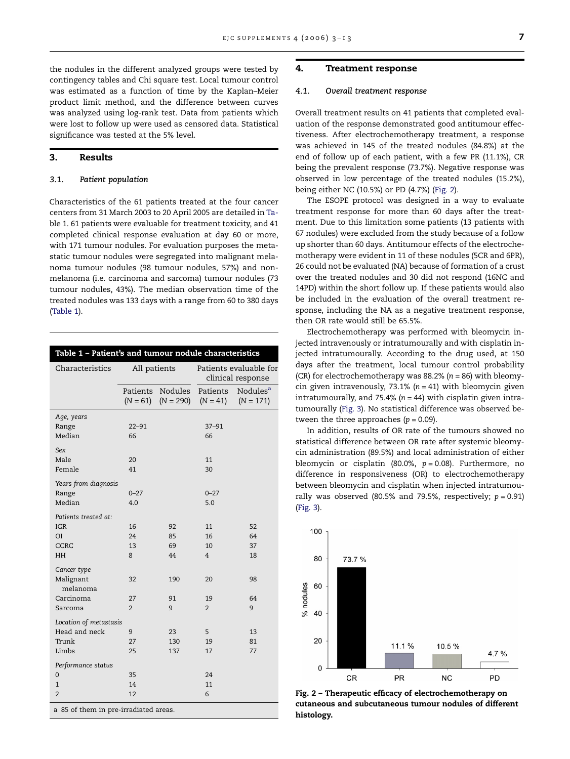the nodules in the different analyzed groups were tested by contingency tables and Chi square test. Local tumour control was estimated as a function of time by the Kaplan–Meier product limit method, and the difference between curves was analyzed using log-rank test. Data from patients which were lost to follow up were used as censored data. Statistical significance was tested at the 5% level.

# 3. Results

#### 3.1. Patient population

Characteristics of the 61 patients treated at the four cancer centers from 31 March 2003 to 20 April 2005 are detailed in Table 1. 61 patients were evaluable for treatment toxicity, and 41 completed clinical response evaluation at day 60 or more, with 171 tumour nodules. For evaluation purposes the metastatic tumour nodules were segregated into malignant melanoma tumour nodules (98 tumour nodules, 57%) and nonmelanoma (i.e. carcinoma and sarcoma) tumour nodules (73 tumour nodules, 43%). The median observation time of the treated nodules was 133 days with a range from 60 to 380 days (Table 1).

| Table 1 - Patient's and tumour nodule characteristics |                        |                        |                                             |                                     |
|-------------------------------------------------------|------------------------|------------------------|---------------------------------------------|-------------------------------------|
| Characteristics                                       | All patients           |                        | Patients evaluable for<br>clinical response |                                     |
|                                                       | Patients<br>$(N = 61)$ | Nodules<br>$(N = 290)$ | Patients<br>$(N = 41)$                      | Nodules <sup>a</sup><br>$(N = 171)$ |
| Age, years                                            |                        |                        |                                             |                                     |
| Range                                                 | $22 - 91$              |                        | $37 - 91$                                   |                                     |
| Median                                                | 66                     |                        | 66                                          |                                     |
| Sex                                                   |                        |                        |                                             |                                     |
| Male                                                  | 20                     |                        | 11                                          |                                     |
| Female                                                | 41                     |                        | 30                                          |                                     |
| Years from diagnosis                                  |                        |                        |                                             |                                     |
| Range                                                 | $0 - 27$               |                        | $0 - 27$                                    |                                     |
| Median                                                | 4.0                    |                        | 5.0                                         |                                     |
| Patients treated at:                                  |                        |                        |                                             |                                     |
| <b>IGR</b>                                            | 16                     | 92                     | 11                                          | 52                                  |
| ΟI                                                    | 24                     | 85                     | 16                                          | 64                                  |
| CCRC                                                  | 13                     | 69                     | 10                                          | 37                                  |
| HH.                                                   | 8                      | 44                     | 4                                           | 18                                  |
| Cancer type                                           |                        |                        |                                             |                                     |
| Malignant                                             | 32                     | 190                    | 20                                          | 98                                  |
| melanoma                                              |                        |                        |                                             |                                     |
| Carcinoma                                             | 27                     | 91                     | 19                                          | 64                                  |
| Sarcoma                                               | $\overline{2}$         | 9                      | $\overline{2}$                              | 9                                   |
| Location of metastasis                                |                        |                        |                                             |                                     |
| Head and neck                                         | 9                      | 23                     | 5                                           | 13                                  |
| Trunk                                                 | 27                     | 130                    | 19                                          | 81                                  |
| Limbs                                                 | 25                     | 137                    | 17                                          | 77                                  |
| Performance status                                    |                        |                        |                                             |                                     |
| 0                                                     | 35                     |                        | 24                                          |                                     |
| $\mathbf{1}$                                          | 14                     |                        | 11                                          |                                     |
| $\overline{2}$                                        | 12                     |                        | 6                                           |                                     |
| a 85 of them in pre-irradiated areas.                 |                        |                        |                                             |                                     |

#### 4. Treatment response

## 4.1. Overall treatment response

Overall treatment results on 41 patients that completed evaluation of the response demonstrated good antitumour effectiveness. After electrochemotherapy treatment, a response was achieved in 145 of the treated nodules (84.8%) at the end of follow up of each patient, with a few PR (11.1%), CR being the prevalent response (73.7%). Negative response was observed in low percentage of the treated nodules (15.2%), being either NC (10.5%) or PD (4.7%) (Fig. 2).

The ESOPE protocol was designed in a way to evaluate treatment response for more than 60 days after the treatment. Due to this limitation some patients (13 patients with 67 nodules) were excluded from the study because of a follow up shorter than 60 days. Antitumour effects of the electrochemotherapy were evident in 11 of these nodules (5CR and 6PR), 26 could not be evaluated (NA) because of formation of a crust over the treated nodules and 30 did not respond (16NC and 14PD) within the short follow up. If these patients would also be included in the evaluation of the overall treatment response, including the NA as a negative treatment response, then OR rate would still be 65.5%.

Electrochemotherapy was performed with bleomycin injected intravenously or intratumourally and with cisplatin injected intratumourally. According to the drug used, at 150 days after the treatment, local tumour control probability (CR) for electrochemotherapy was 88.2% ( $n = 86$ ) with bleomycin given intravenously, 73.1% ( $n = 41$ ) with bleomycin given intratumourally, and 75.4% ( $n = 44$ ) with cisplatin given intratumourally [\(Fig. 3\)](#page-5-0). No statistical difference was observed between the three approaches  $(p = 0.09)$ .

In addition, results of OR rate of the tumours showed no statistical difference between OR rate after systemic bleomycin administration (89.5%) and local administration of either bleomycin or cisplatin (80.0%,  $p = 0.08$ ). Furthermore, no difference in responsiveness (OR) to electrochemotherapy between bleomycin and cisplatin when injected intratumourally was observed (80.5% and 79.5%, respectively;  $p = 0.91$ ) [\(Fig. 3\)](#page-5-0).



Fig. 2 – Therapeutic efficacy of electrochemotherapy on cutaneous and subcutaneous tumour nodules of different histology.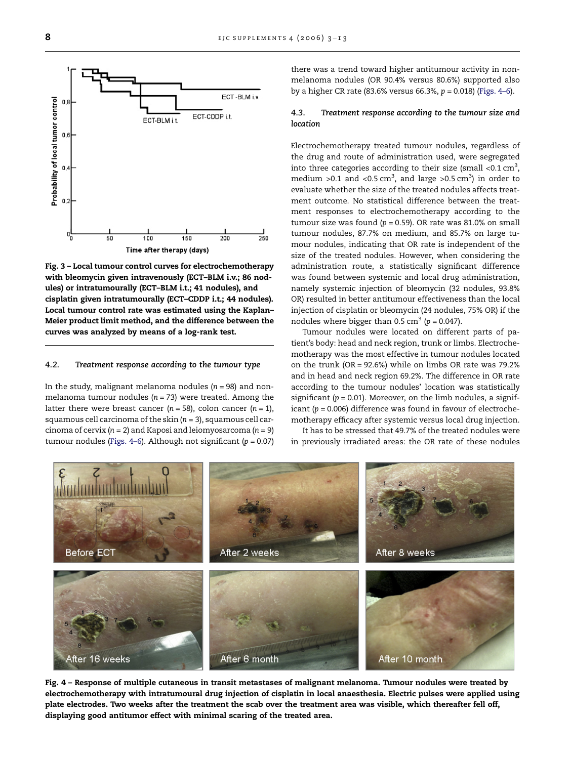<span id="page-5-0"></span>

Fig. 3 – Local tumour control curves for electrochemotherapy with bleomycin given intravenously (ECT–BLM i.v.; 86 nodules) or intratumourally (ECT–BLM i.t.; 41 nodules), and cisplatin given intratumourally (ECT–CDDP i.t.; 44 nodules). Local tumour control rate was estimated using the Kaplan– Meier product limit method, and the difference between the curves was analyzed by means of a log-rank test.

## 4.2. Treatment response according to the tumour type

In the study, malignant melanoma nodules  $(n = 98)$  and nonmelanoma tumour nodules ( $n = 73$ ) were treated. Among the latter there were breast cancer ( $n = 58$ ), colon cancer ( $n = 1$ ), squamous cell carcinoma of the skin ( $n = 3$ ), squamous cell carcinoma of cervix ( $n = 2$ ) and Kaposi and leiomyosarcoma ( $n = 9$ ) tumour nodules (Figs. 4–6). Although not significant ( $p = 0.07$ )

there was a trend toward higher antitumour activity in nonmelanoma nodules (OR 90.4% versus 80.6%) supported also by a higher CR rate (83.6% versus 66.3%,  $p = 0.018$ ) (Figs. 4–6).

# 4.3. Treatment response according to the tumour size and location

Electrochemotherapy treated tumour nodules, regardless of the drug and route of administration used, were segregated into three categories according to their size (small <0.1  $cm<sup>3</sup>$ , medium  $>0.1$  and < $0.5$  cm<sup>3</sup>, and large  $>0.5$  cm<sup>3</sup>) in order to evaluate whether the size of the treated nodules affects treatment outcome. No statistical difference between the treatment responses to electrochemotherapy according to the tumour size was found ( $p = 0.59$ ). OR rate was 81.0% on small tumour nodules, 87.7% on medium, and 85.7% on large tumour nodules, indicating that OR rate is independent of the size of the treated nodules. However, when considering the administration route, a statistically significant difference was found between systemic and local drug administration, namely systemic injection of bleomycin (32 nodules, 93.8% OR) resulted in better antitumour effectiveness than the local injection of cisplatin or bleomycin (24 nodules, 75% OR) if the nodules where bigger than 0.5 cm<sup>3</sup> ( $p = 0.047$ ).

Tumour nodules were located on different parts of patient's body: head and neck region, trunk or limbs. Electrochemotherapy was the most effective in tumour nodules located on the trunk (OR = 92.6%) while on limbs OR rate was 79.2% and in head and neck region 69.2%. The difference in OR rate according to the tumour nodules' location was statistically significant ( $p = 0.01$ ). Moreover, on the limb nodules, a significant ( $p = 0.006$ ) difference was found in favour of electrochemotherapy efficacy after systemic versus local drug injection.

It has to be stressed that 49.7% of the treated nodules were in previously irradiated areas: the OR rate of these nodules



Fig. 4 – Response of multiple cutaneous in transit metastases of malignant melanoma. Tumour nodules were treated by electrochemotherapy with intratumoural drug injection of cisplatin in local anaesthesia. Electric pulses were applied using plate electrodes. Two weeks after the treatment the scab over the treatment area was visible, which thereafter fell off, displaying good antitumor effect with minimal scaring of the treated area.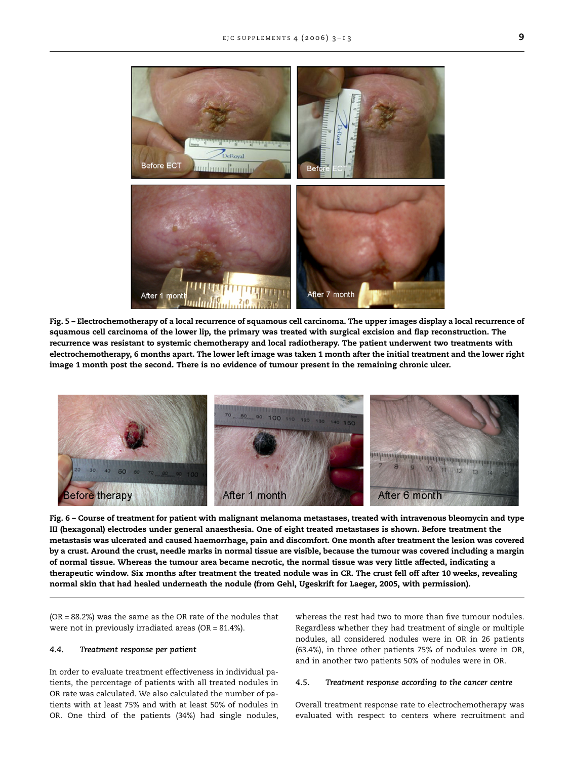

Fig. 5 – Electrochemotherapy of a local recurrence of squamous cell carcinoma. The upper images display a local recurrence of squamous cell carcinoma of the lower lip, the primary was treated with surgical excision and flap reconstruction. The recurrence was resistant to systemic chemotherapy and local radiotherapy. The patient underwent two treatments with electrochemotherapy, 6 months apart. The lower left image was taken 1 month after the initial treatment and the lower right image 1 month post the second. There is no evidence of tumour present in the remaining chronic ulcer.



Fig. 6 – Course of treatment for patient with malignant melanoma metastases, treated with intravenous bleomycin and type III (hexagonal) electrodes under general anaesthesia. One of eight treated metastases is shown. Before treatment the metastasis was ulcerated and caused haemorrhage, pain and discomfort. One month after treatment the lesion was covered by a crust. Around the crust, needle marks in normal tissue are visible, because the tumour was covered including a margin of normal tissue. Whereas the tumour area became necrotic, the normal tissue was very little affected, indicating a therapeutic window. Six months after treatment the treated nodule was in CR. The crust fell off after 10 weeks, revealing normal skin that had healed underneath the nodule (from Gehl, Ugeskrift for Laeger, 2005, with permission).

(OR = 88.2%) was the same as the OR rate of the nodules that were not in previously irradiated areas (OR = 81.4%).

# 4.4. Treatment response per patient

In order to evaluate treatment effectiveness in individual patients, the percentage of patients with all treated nodules in OR rate was calculated. We also calculated the number of patients with at least 75% and with at least 50% of nodules in OR. One third of the patients (34%) had single nodules,

whereas the rest had two to more than five tumour nodules. Regardless whether they had treatment of single or multiple nodules, all considered nodules were in OR in 26 patients (63.4%), in three other patients 75% of nodules were in OR, and in another two patients 50% of nodules were in OR.

#### 4.5. Treatment response according to the cancer centre

Overall treatment response rate to electrochemotherapy was evaluated with respect to centers where recruitment and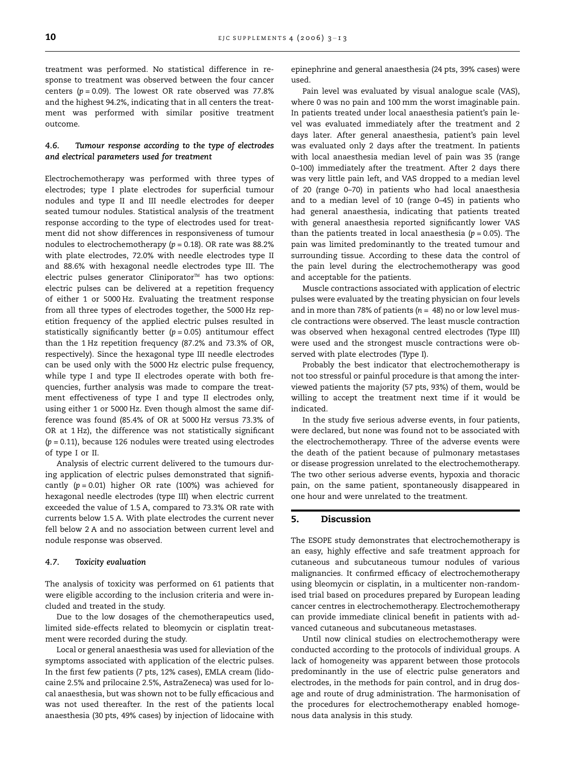treatment was performed. No statistical difference in response to treatment was observed between the four cancer centers ( $p = 0.09$ ). The lowest OR rate observed was 77.8% and the highest 94.2%, indicating that in all centers the treatment was performed with similar positive treatment outcome.

# 4.6. Tumour response according to the type of electrodes and electrical parameters used for treatment

Electrochemotherapy was performed with three types of electrodes; type I plate electrodes for superficial tumour nodules and type II and III needle electrodes for deeper seated tumour nodules. Statistical analysis of the treatment response according to the type of electrodes used for treatment did not show differences in responsiveness of tumour nodules to electrochemotherapy ( $p = 0.18$ ). OR rate was 88.2% with plate electrodes, 72.0% with needle electrodes type II and 88.6% with hexagonal needle electrodes type III. The electric pulses generator Cliniporator<sup>™</sup> has two options: electric pulses can be delivered at a repetition frequency of either 1 or 5000 Hz. Evaluating the treatment response from all three types of electrodes together, the 5000 Hz repetition frequency of the applied electric pulses resulted in statistically significantly better  $(p = 0.05)$  antitumour effect than the 1 Hz repetition frequency (87.2% and 73.3% of OR, respectively). Since the hexagonal type III needle electrodes can be used only with the 5000 Hz electric pulse frequency, while type I and type II electrodes operate with both frequencies, further analysis was made to compare the treatment effectiveness of type I and type II electrodes only, using either 1 or 5000 Hz. Even though almost the same difference was found (85.4% of OR at 5000 Hz versus 73.3% of OR at 1 Hz), the difference was not statistically significant  $(p = 0.11)$ , because 126 nodules were treated using electrodes of type I or II.

Analysis of electric current delivered to the tumours during application of electric pulses demonstrated that significantly  $(p = 0.01)$  higher OR rate (100%) was achieved for hexagonal needle electrodes (type III) when electric current exceeded the value of 1.5 A, compared to 73.3% OR rate with currents below 1.5 A. With plate electrodes the current never fell below 2 A and no association between current level and nodule response was observed.

#### 4.7. Toxicity evaluation

The analysis of toxicity was performed on 61 patients that were eligible according to the inclusion criteria and were included and treated in the study.

Due to the low dosages of the chemotherapeutics used, limited side-effects related to bleomycin or cisplatin treatment were recorded during the study.

Local or general anaesthesia was used for alleviation of the symptoms associated with application of the electric pulses. In the first few patients (7 pts, 12% cases), EMLA cream (lidocaine 2.5% and prilocaine 2.5%, AstraZeneca) was used for local anaesthesia, but was shown not to be fully efficacious and was not used thereafter. In the rest of the patients local anaesthesia (30 pts, 49% cases) by injection of lidocaine with

epinephrine and general anaesthesia (24 pts, 39% cases) were used.

Pain level was evaluated by visual analogue scale (VAS), where 0 was no pain and 100 mm the worst imaginable pain. In patients treated under local anaesthesia patient's pain level was evaluated immediately after the treatment and 2 days later. After general anaesthesia, patient's pain level was evaluated only 2 days after the treatment. In patients with local anaesthesia median level of pain was 35 (range 0–100) immediately after the treatment. After 2 days there was very little pain left, and VAS dropped to a median level of 20 (range 0–70) in patients who had local anaesthesia and to a median level of 10 (range 0–45) in patients who had general anaesthesia, indicating that patients treated with general anaesthesia reported significantly lower VAS than the patients treated in local anaesthesia ( $p = 0.05$ ). The pain was limited predominantly to the treated tumour and surrounding tissue. According to these data the control of the pain level during the electrochemotherapy was good and acceptable for the patients.

Muscle contractions associated with application of electric pulses were evaluated by the treating physician on four levels and in more than 78% of patients ( $n = 48$ ) no or low level muscle contractions were observed. The least muscle contraction was observed when hexagonal centred electrodes (Type III) were used and the strongest muscle contractions were observed with plate electrodes (Type I).

Probably the best indicator that electrochemotherapy is not too stressful or painful procedure is that among the interviewed patients the majority (57 pts, 93%) of them, would be willing to accept the treatment next time if it would be indicated.

In the study five serious adverse events, in four patients, were declared, but none was found not to be associated with the electrochemotherapy. Three of the adverse events were the death of the patient because of pulmonary metastases or disease progression unrelated to the electrochemotherapy. The two other serious adverse events, hypoxia and thoracic pain, on the same patient, spontaneously disappeared in one hour and were unrelated to the treatment.

# 5. Discussion

The ESOPE study demonstrates that electrochemotherapy is an easy, highly effective and safe treatment approach for cutaneous and subcutaneous tumour nodules of various malignancies. It confirmed efficacy of electrochemotherapy using bleomycin or cisplatin, in a multicenter non-randomised trial based on procedures prepared by European leading cancer centres in electrochemotherapy. Electrochemotherapy can provide immediate clinical benefit in patients with advanced cutaneous and subcutaneous metastases.

Until now clinical studies on electrochemotherapy were conducted according to the protocols of individual groups. A lack of homogeneity was apparent between those protocols predominantly in the use of electric pulse generators and electrodes, in the methods for pain control, and in drug dosage and route of drug administration. The harmonisation of the procedures for electrochemotherapy enabled homogenous data analysis in this study.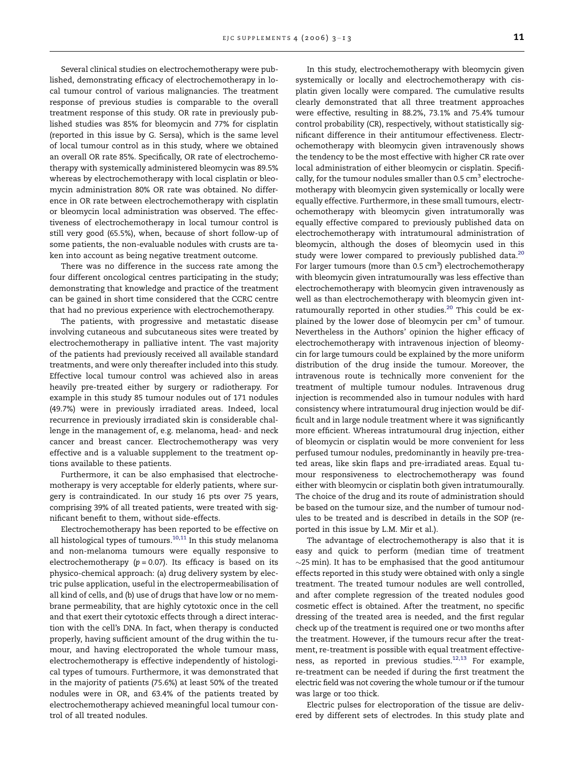Several clinical studies on electrochemotherapy were published, demonstrating efficacy of electrochemotherapy in local tumour control of various malignancies. The treatment response of previous studies is comparable to the overall treatment response of this study. OR rate in previously published studies was 85% for bleomycin and 77% for cisplatin (reported in this issue by G. Sersa), which is the same level of local tumour control as in this study, where we obtained an overall OR rate 85%. Specifically, OR rate of electrochemotherapy with systemically administered bleomycin was 89.5% whereas by electrochemotherapy with local cisplatin or bleomycin administration 80% OR rate was obtained. No difference in OR rate between electrochemotherapy with cisplatin or bleomycin local administration was observed. The effectiveness of electrochemotherapy in local tumour control is still very good (65.5%), when, because of short follow-up of some patients, the non-evaluable nodules with crusts are taken into account as being negative treatment outcome.

There was no difference in the success rate among the four different oncological centres participating in the study; demonstrating that knowledge and practice of the treatment can be gained in short time considered that the CCRC centre that had no previous experience with electrochemotherapy.

The patients, with progressive and metastatic disease involving cutaneous and subcutaneous sites were treated by electrochemotherapy in palliative intent. The vast majority of the patients had previously received all available standard treatments, and were only thereafter included into this study. Effective local tumour control was achieved also in areas heavily pre-treated either by surgery or radiotherapy. For example in this study 85 tumour nodules out of 171 nodules (49.7%) were in previously irradiated areas. Indeed, local recurrence in previously irradiated skin is considerable challenge in the management of, e.g. melanoma, head- and neck cancer and breast cancer. Electrochemotherapy was very effective and is a valuable supplement to the treatment options available to these patients.

Furthermore, it can be also emphasised that electrochemotherapy is very acceptable for elderly patients, where surgery is contraindicated. In our study 16 pts over 75 years, comprising 39% of all treated patients, were treated with significant benefit to them, without side-effects.

Electrochemotherapy has been reported to be effective on all histological types of tumours.<sup>10,11</sup> In this study melanoma and non-melanoma tumours were equally responsive to electrochemotherapy ( $p = 0.07$ ). Its efficacy is based on its physico-chemical approach: (a) drug delivery system by electric pulse application, useful in the electropermeabilisation of all kind of cells, and (b) use of drugs that have low or no membrane permeability, that are highly cytotoxic once in the cell and that exert their cytotoxic effects through a direct interaction with the cell's DNA. In fact, when therapy is conducted properly, having sufficient amount of the drug within the tumour, and having electroporated the whole tumour mass, electrochemotherapy is effective independently of histological types of tumours. Furthermore, it was demonstrated that in the majority of patients (75.6%) at least 50% of the treated nodules were in OR, and 63.4% of the patients treated by electrochemotherapy achieved meaningful local tumour control of all treated nodules.

In this study, electrochemotherapy with bleomycin given systemically or locally and electrochemotherapy with cisplatin given locally were compared. The cumulative results clearly demonstrated that all three treatment approaches were effective, resulting in 88.2%, 73.1% and 75.4% tumour control probability (CR), respectively, without statistically significant difference in their antitumour effectiveness. Electrochemotherapy with bleomycin given intravenously shows the tendency to be the most effective with higher CR rate over local administration of either bleomycin or cisplatin. Specifically, for the tumour nodules smaller than  $0.5 \text{ cm}^3$  electrochemotherapy with bleomycin given systemically or locally were equally effective. Furthermore, in these small tumours, electrochemotherapy with bleomycin given intratumorally was equally effective compared to previously published data on electrochemotherapy with intratumoural administration of bleomycin, although the doses of bleomycin used in this study were lower compared to previously published data.<sup>20</sup> For larger tumours (more than 0.5  $\rm cm^3$ ) electrochemotherapy with bleomycin given intratumourally was less effective than electrochemotherapy with bleomycin given intravenously as well as than electrochemotherapy with bleomycin given int-ratumourally reported in other studies.<sup>[20](#page-10-0)</sup> This could be explained by the lower dose of bleomycin per  $cm<sup>3</sup>$  of tumour. Nevertheless in the Authors' opinion the higher efficacy of electrochemotherapy with intravenous injection of bleomycin for large tumours could be explained by the more uniform distribution of the drug inside the tumour. Moreover, the intravenous route is technically more convenient for the treatment of multiple tumour nodules. Intravenous drug injection is recommended also in tumour nodules with hard consistency where intratumoural drug injection would be difficult and in large nodule treatment where it was significantly more efficient. Whereas intratumoural drug injection, either of bleomycin or cisplatin would be more convenient for less perfused tumour nodules, predominantly in heavily pre-treated areas, like skin flaps and pre-irradiated areas. Equal tumour responsiveness to electrochemotherapy was found either with bleomycin or cisplatin both given intratumourally. The choice of the drug and its route of administration should be based on the tumour size, and the number of tumour nodules to be treated and is described in details in the SOP (reported in this issue by L.M. Mir et al.).

The advantage of electrochemotherapy is also that it is easy and quick to perform (median time of treatment  $\sim$ 25 min). It has to be emphasised that the good antitumour effects reported in this study were obtained with only a single treatment. The treated tumour nodules are well controlled, and after complete regression of the treated nodules good cosmetic effect is obtained. After the treatment, no specific dressing of the treated area is needed, and the first regular check up of the treatment is required one or two months after the treatment. However, if the tumours recur after the treatment, re-treatment is possible with equal treatment effective-ness, as reported in previous studies.<sup>[12,13](#page-10-0)</sup> For example, re-treatment can be needed if during the first treatment the electric field was not covering the whole tumour or if the tumour was large or too thick.

Electric pulses for electroporation of the tissue are delivered by different sets of electrodes. In this study plate and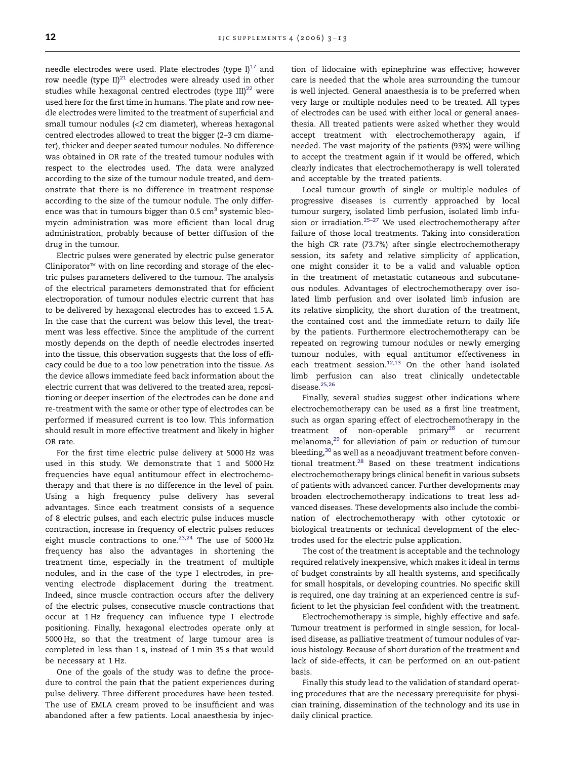needle electrodes were used. Plate electrodes (type I) $^{17}$  and row needle (type II) $^{21}$  electrodes were already used in other studies while hexagonal centred electrodes (type III) $^{22}$  were used here for the first time in humans. The plate and row needle electrodes were limited to the treatment of superficial and small tumour nodules (<2 cm diameter), whereas hexagonal centred electrodes allowed to treat the bigger (2–3 cm diameter), thicker and deeper seated tumour nodules. No difference was obtained in OR rate of the treated tumour nodules with respect to the electrodes used. The data were analyzed according to the size of the tumour nodule treated, and demonstrate that there is no difference in treatment response according to the size of the tumour nodule. The only difference was that in tumours bigger than  $0.5 \text{ cm}^3$  systemic bleomycin administration was more efficient than local drug administration, probably because of better diffusion of the drug in the tumour.

Electric pulses were generated by electric pulse generator Cliniporator $M$  with on line recording and storage of the electric pulses parameters delivered to the tumour. The analysis of the electrical parameters demonstrated that for efficient electroporation of tumour nodules electric current that has to be delivered by hexagonal electrodes has to exceed 1.5 A. In the case that the current was below this level, the treatment was less effective. Since the amplitude of the current mostly depends on the depth of needle electrodes inserted into the tissue, this observation suggests that the loss of efficacy could be due to a too low penetration into the tissue. As the device allows immediate feed back information about the electric current that was delivered to the treated area, repositioning or deeper insertion of the electrodes can be done and re-treatment with the same or other type of electrodes can be performed if measured current is too low. This information should result in more effective treatment and likely in higher OR rate.

For the first time electric pulse delivery at 5000 Hz was used in this study. We demonstrate that 1 and 5000 Hz frequencies have equal antitumour effect in electrochemotherapy and that there is no difference in the level of pain. Using a high frequency pulse delivery has several advantages. Since each treatment consists of a sequence of 8 electric pulses, and each electric pulse induces muscle contraction, increase in frequency of electric pulses reduces eight muscle contractions to one. $23,24$  The use of 5000 Hz frequency has also the advantages in shortening the treatment time, especially in the treatment of multiple nodules, and in the case of the type I electrodes, in preventing electrode displacement during the treatment. Indeed, since muscle contraction occurs after the delivery of the electric pulses, consecutive muscle contractions that occur at 1 Hz frequency can influence type I electrode positioning. Finally, hexagonal electrodes operate only at 5000 Hz, so that the treatment of large tumour area is completed in less than 1 s, instead of 1 min 35 s that would be necessary at 1 Hz.

One of the goals of the study was to define the procedure to control the pain that the patient experiences during pulse delivery. Three different procedures have been tested. The use of EMLA cream proved to be insufficient and was abandoned after a few patients. Local anaesthesia by injection of lidocaine with epinephrine was effective; however care is needed that the whole area surrounding the tumour is well injected. General anaesthesia is to be preferred when very large or multiple nodules need to be treated. All types of electrodes can be used with either local or general anaesthesia. All treated patients were asked whether they would accept treatment with electrochemotherapy again, if needed. The vast majority of the patients (93%) were willing to accept the treatment again if it would be offered, which clearly indicates that electrochemotherapy is well tolerated and acceptable by the treated patients.

Local tumour growth of single or multiple nodules of progressive diseases is currently approached by local tumour surgery, isolated limb perfusion, isolated limb infu-sion or irradiation.<sup>[25–27](#page-10-0)</sup> We used electrochemotherapy after failure of those local treatments. Taking into consideration the high CR rate (73.7%) after single electrochemotherapy session, its safety and relative simplicity of application, one might consider it to be a valid and valuable option in the treatment of metastatic cutaneous and subcutaneous nodules. Advantages of electrochemotherapy over isolated limb perfusion and over isolated limb infusion are its relative simplicity, the short duration of the treatment, the contained cost and the immediate return to daily life by the patients. Furthermore electrochemotherapy can be repeated on regrowing tumour nodules or newly emerging tumour nodules, with equal antitumor effectiveness in each treatment session. $12,13$  On the other hand isolated limb perfusion can also treat clinically undetectable disease.<sup>25,26</sup>

Finally, several studies suggest other indications where electrochemotherapy can be used as a first line treatment, such as organ sparing effect of electrochemotherapy in the treatment of non-operable primary<sup>[28](#page-10-0)</sup> or recurrent melanoma,<sup>[29](#page-10-0)</sup> for alleviation of pain or reduction of tumour bleeding,<sup>[30](#page-10-0)</sup> as well as a neoadjuvant treatment before conventional treatment.[28](#page-10-0) Based on these treatment indications electrochemotherapy brings clinical benefit in various subsets of patients with advanced cancer. Further developments may broaden electrochemotherapy indications to treat less advanced diseases. These developments also include the combination of electrochemotherapy with other cytotoxic or biological treatments or technical development of the electrodes used for the electric pulse application.

The cost of the treatment is acceptable and the technology required relatively inexpensive, which makes it ideal in terms of budget constraints by all health systems, and specifically for small hospitals, or developing countries. No specific skill is required, one day training at an experienced centre is sufficient to let the physician feel confident with the treatment.

Electrochemotherapy is simple, highly effective and safe. Tumour treatment is performed in single session, for localised disease, as palliative treatment of tumour nodules of various histology. Because of short duration of the treatment and lack of side-effects, it can be performed on an out-patient basis.

Finally this study lead to the validation of standard operating procedures that are the necessary prerequisite for physician training, dissemination of the technology and its use in daily clinical practice.